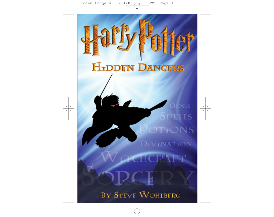## **HIDDEN DANGERS**

Hart, Potter

Spells POTIONS  $D<sub>I</sub>V<sub>I</sub>NAT<sub>I</sub>ON$ 

**GHOSTS** 

**ICPAFT** BY STEVE WOHLBERG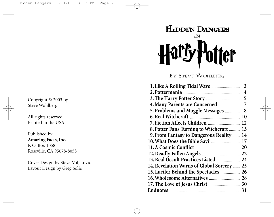Copyright © 2003 by Steve Wohlberg

All rights reserved. Printed in the USA.

Published by **Amazing Facts, Inc.** P. O. Box 1058 Roseville, CA 95678-8058

Cover Design by Steve Miljatovic Layout Design by Greg Solie

## **HIDDEN DANGERS**  $I<sub>N</sub>$ **er**

BY STEVE WOHLBERG

|                                            | 3 |
|--------------------------------------------|---|
|                                            | 4 |
|                                            | 5 |
|                                            | 7 |
| 5. Problems and Muggle Messages            | 8 |
|                                            |   |
| 7. Fiction Affects Children  12            |   |
| 8. Potter Fans Turning to Witchcraft  13   |   |
| 9. From Fantasy to Dangerous Reality 14    |   |
| 10. What Does the Bible Say?  17           |   |
|                                            |   |
|                                            |   |
| 13. Real Occult Practices Listed  24       |   |
| 14. Revelation Warns of Global Sorcery  25 |   |
| 15. Lucifer Behind the Spectacles  26      |   |
|                                            |   |
|                                            |   |
|                                            |   |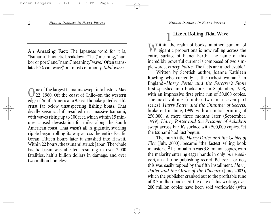**An Amazing Fact:** The Japanese word for it is, "tsunami." Phonetic breakdown: "Tsu," meaning,"harbor or port," and "nami," meaning, "wave." Often translated: "Ocean wave," but most commonly,*tidal wave.*

One of the largest tsunamis swept into history May<br>22, 1960. Off the coast of Chile–on the western<br>20 September 10 September is the dentity edge of South America–a 9.5 earthquake jolted earth's crust far below unsuspecting fishing boats. That deadly seismic shift resulted in a massive tsunami, with waves rising up to 100 feet, which within 15 minutes caused devastation for miles along the South American coast. That wasn't all. A gigantic, swirling ripple began rolling its way across the entire Pacific Ocean. Fifteen hours later it smashed into Hawaii. Within 22 hours, the tsunami struck Japan. The whole Pacific basin was affected, resulting in over 2,000 fatalities, half a billion dollars in damage, and over two million homeless.

#### **1 Like A Rolling Tidal Wave**

W ithin the realm of books, another tsunami of<br>gigantic proportions is now rolling across the entire surface of Planet Earth. The name of this incredibly powerful current is composed of two simple words,*Harry Potter.* The facts are unbelievable!

Written by Scottish author, Joanne Kathleen Rowling–who currently is the richest woman**1** in England–*Harry Potter and the Sorcerer's Stone* first splashed into bookstores in September, 1998, with an impressive first print run of 50,000 copies. The next volume (number two in a seven-part series), *Harry Potter and the Chamber of Secrets,* broke out in June, 1999, with an initial printing of 250,000. A mere three months later (September, 1999), *Harry Potter and the Prisoner of Azkaban* swept across Earth's surface with 500,000 copies. Yet the tsunami had just begun.

The fourth title,*Harry Potter and the Goblet of Fire* (July, 2000), became "the fastest selling book in history." **2** Its initial run was 3.8 million copies, with the majority entering eager hands in only *one weekend*, an all-time publishing record. Believe it or not, this was easily topped by the fifth installment, *Harry Potter and the Order of the Phoenix* (June, 2003), which the publisher cranked out to the profitable tune of 8.5 million books. At the date of this writing, over 200 million copies have been sold worldwide (with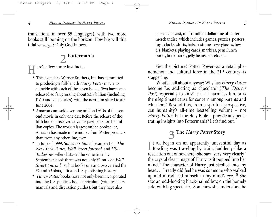translations in over 55 languages), with two more books still looming on the horizon. How big will this tidal wave get? Only God knows.

#### **2 Pottermania**

ere's a few more fast facts:

- The legendary Warner Brothers, Inc. has committed to producing a full-length *Harry Potter* movie to coincide with each of the seven books. Two have been released so far, grossing about \$3.8 billion (including DVD and video sales), with the next film slated to air June 2004.
- Amazon com sold over one million DVDs of the second movie in only one day. Before the release of the fifth book, it received advance payments for 1.3 million copies. The world's largest online bookseller, Amazon has made more money from Potter products than from any other line, ever.
- In June of 1999, *Sorcerer's Stone* became #1 on *The New York Times, Wall Street Journal,* and *USA Today* bestsellers lists–at the same time. By September, book three was not only #1 on *The Wall Street Journal* list, but books one and two carried the #2 and #3 slots, a first in U.S. publishing history.
- *Harry Potter* books have not only been incorporated into the U.S. public school curriculum (with teachers manuals and discussion guides), but they have also

spawned a vast, multi-million dollar line of Potter merchandise, which includes games, puzzles, posters, toys, clocks, shirts, hats, costumes, eye-glasses, towels, blankets, playing cards, markers, pens, lunch boxes, bookmarks, jelly beans, etc. etc. etc.

Get the picture? Potter Power–as a retail phenomenon and cultural force in the 21st century–is staggering.

What's it all about anyway? Why has *Harry Potter* become "as addicting as chocolate" (*The Denver Post*), especially to kids? Is it all harmless fun, or is there legitimate cause for concern among parents and educators? Beyond this, from a spiritual perspective, can humanity's all-time bestselling volume – not *Harry Potter,* but the Holy Bible – provide any penetrating insights into Pottermania? Let's find out.

#### **3 The** *Harry Potter* **Story**

I t all began on an apparently uneventful day as<br>Rowling was traveling by train. Suddenly–like a<br>multiine out of possible above. "some normal scale."  $\mathbb T$  t all began on an apparently uneventful day as revelation out of nowhere–she saw "very, very clearly" the crystal clear image of Harry as it popped into her mind. "The character of Harry just strolled into my head… I really did feel he was someone who walked up and introduced himself in my mind's eye." **3** She saw an odd-looking black-haired boy, on the homely side, with big spectacles. Somehow she understood he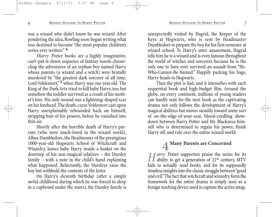was a wizard who didn't know he was wizard. After pondering the idea, Rowling soon began writing what was destined to become "the most popular children's

*Harry Potter* books are a highly imaginative, can't-put-it-down sequence of fantasy novels chronicling the adventures of an orphan boy named Harry whose parents (a wizard and a witch) were brutally murdered by "the greatest dark sorcerer of all time, Lord Voldemort," **5** when Harry was one year old. The King of the Dark Arts tried to kill baby Harry, too, but somehow the toddler survived as a result of his mother's love. His only wound was a lightning-shaped scar on his forehead. The death-curse Voldemort cast upon Harry unexplainably rebounded back on himself, stripping him of his powers, before he vanished into thin air.

Shortly after the horrible death of Harry's parents (who were much-loved in the wizard world), Albus Dumbledore, the Headmaster of the prestigious 1000-year-old Hogwarts School of Witchcraft and Wizardry, leaves baby Harry inside a basket on the doorstep of his non-magical relatives – the Dursley family – with a note in the child's hand explaining what happened. Reluctantly, the Dursleys raise the boy but withhold the contents of the letter.

On Harry's eleventh birthday (after a simply awful childhood during which he was forced to sleep in a cupboard under the stairs), the Dursley family is unexpectedly visited by Hagrid, the Keeper of the Keys at Hogwarts, who is sent by Headmaster Dumbledore to prepare the boy for his first semester at wizard school. To Harry's utter amazement, Hagrid tells him he is a wizard and is even famous throughout the world of witches and sorcerers because he is the only one to have ever survived an assault from "He-Who-Cannot-Be-Named." Happily packing his bags, Harry heads to Hogwarts.

Thus the plot is laid, and it intensifies with each sequential book and high-budget film. Around the globe, on every continent, millions of young readers can hardly wait for the next book as the captivating drama not only follows the development of Harry's magical abilities but moves steadily toward some sort of on-the-edge-of-your-seat, blood-curdling showdown between Harry Potter and Mr. Blackness himself who is determined to regain his power, finish Harry off, and rule over the entire wizard world.

## **4 Many Parents are Concerned**<br>**T** *arry Potter* supporters praise the series for its

*H* arry *Potter* supporters praise the series for its ability to get a generation of 21<sup>st</sup> century, MTV kids to actually *read books,* and for its supposedly timeless insights into the classic struggle between "good and evil."The fact that witchcraft and wizardry form the framework for the entire drama is simply seen as a benign teaching device used to capture the active imag-

series ever written.<sup>"4</sup>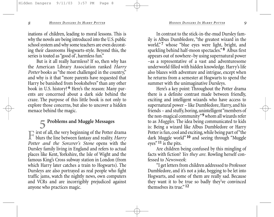inations of children, leading to moral lessons. This is why the novels are being introduced into the U.S. public school system and why some teachers are even decorating their classrooms Hogwarts-style. Beyond this, the series is touted as "good ol', harmless fun."

But is it all really harmless? If so, then why has the American Library Association ranked *Harry Potter* books as "the most challenged in the country," and why is it that "more parents have requested that Harry be banished from bookshelves" than any other book in U.S. history? **6** Here's the reason: Many parents are concerned about a dark side behind the craze. The purpose of this little book is not only to explore those concerns, but also to uncover a hidden menace behind the magic.

### **5 Problems and Muggle Messages**

First of all, the very beginning of the Potter drama blurs the line between fantasy and reality. *Harry Potter and the Sorcerer's Stone* opens with the Dursley family living in England and refers to actual places like Kent, Yorkshire, the Isle of Wight and the famous King's Cross subway station in London (from which Harry later catches a train to Hogwarts). The Dursleys are also portrayed as real people who fight traffic jams, watch the nightly news, own computers and VCRs and are incorrigibly prejudiced against anyone who practices magic.

In contrast to the stick-in-the-mud Dursley family is Albus Dumbledore, "the greatest wizard in the world,"<sup>7</sup> whose "blue eyes were light, bright, and sparkling behind half-moon spectacles." **8** Albus first appears out of nowhere–by using supernatural power –as a representative of a vast and adventuresome underworld filled with hidden knowledge. Harry's life also blazes with adventure and intrigue, except when he returns from a semester at Hogwarts to spend the summer with the unimaginative Dursleys.

Here's a key point: Throughout the Potter drama there is a definite contrast made between friendly, exciting and intelligent wizards who have access to supernatural power – like Dumbledore, Harry, and his friends – and stuffy, boring, unintelligent "members of the non-magical community"**9** whom all wizards refer to as *Muggles.* The idea being communicated to kids is: Being a wizard like Albus Dumbledore or Harry Potter is fun, cool and exciting, while being part of "the dark Muggle world" **10** and seeing through "Muggle eyes" **11** is the pits.

Are children being confused by this mingling of facts with fiction? *Yes they are.* Rowling herself confessed to *Newsweek*:

"I get letters from children addressed to Professor Dumbledore, and it's not a joke, begging to be let into Hogwarts, and some of them are really sad. Because they want it to be true so badly they've convinced themselves its true." **12**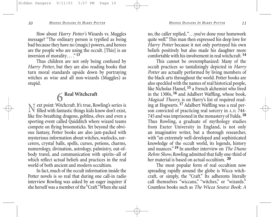How about *Harry Potter's* Wizards vs. Muggles message? "The ordinary person is typified as being bad because they have no (magic) powers, and heroes are the people who are using the occult. [This] is an inversion of morality...."<sup>13</sup>

Thus children are not only being confused by *Harry Potter*, but they are also reading books that turn moral standards upside down by portraying witches as wise and all non-wizards (Muggles) as stupid.

### **6 Real Witchcraft**

Next point: Witchcraft. It's true, Rowling's series is filled with fantastic things kids know don't exist, like fire-breathing dragons, goblins, elves and even a sporting event called Quidditch where wizard teams compete on flying broomsticks. Yet beyond the obvious fantasy, Potter books are also jam-packed with mysterious information about witches, warlocks, sorcerers, crystal balls, spells, curses, potions, charms, numerology, divination, astrology, palmistry, out-ofbody travel, and communication with spirits–all of which reflect actual beliefs and practices in the real world of both ancient and modern occultism.

In fact, much of the occult information inside the Potter novels is so real that during one call-in radio interview Rowling was asked by an eager inquirer if she herself was a member of the "Craft."When she said

no, the caller replied, "…you've done your homework quite well." This man then expressed his deep love for *Harry Potter* because it not only portrayed his own beliefs positively but also made his daughter more comfortable with his involvement in real witchcraft. **14**

This cannot be overemphasized: Many of the occult practices so tantalizingly depicted in *Harry Potter* are actually performed by living members of the black arts throughout the world. Potter books are also speckled with the names of real historical people, like Nicholas Flamel, **15** a French alchemist who lived in the 1300s, **16** and Adalbert Waffling, whose book, *Magical Theory,* is on Harry's list of required reading at Hogwarts. **17** Adalbert Waffling was a real person convicted of practicing real sorcery in A.D. 744- 745 and was imprisoned in the monastery of Fulda. **18** Thus Rowling, a graduate of mythology studies from Exeter University in England, is not only an imaginative writer, but a thorough researcher, with "an extremely well-developed and sophisticated knowledge of the occult world, its legends, history and nuances." **19** In another interview on *The Diane Rehm Show*, Rowling admitted that fully one-third of her material is based on actual occultism. **20**

The most popular form of real occultism now spreading rapidly around the globe is Wicca witchcraft, or simply, the "Craft." Its adherents literally call themselves "wiccans," "witches," or "wizards." Countless books such as *The Wicca Source Book*: *A*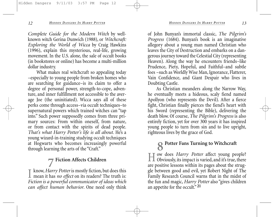*Complete Guide for the Modern Witch* by wellknown witch Gerina Dunwich (1988), or *Witchcraft: Exploring the World of Wicca* by Craig Hawkins (1996), explain this mysterious, real-life, growing movement. In the U.S. alone, the sale of occult books (in bookstores or online) has become a multi-million dollar industry.

What makes real witchcraft so appealing today –especially to young people from broken homes who are searching for guidance–is its claim to offer a degree of personal power, strength-to-cope, adventure, and inner fulfillment not accessible to the average Joe (the uninitiated). Wicca says all of these perks come through access–via occult techniques–to supernatural powers which trained witches can "tap into." Such power supposedly comes from three primary sources: From within oneself, from nature, or from contact with the spirits of dead people. *That's what Harry Potter's life is all about.* He's a young wizard-in-training studying occult techniques at Hogwarts who becomes increasingly powerful through learning the arts of the "Craft."

# **7 Fiction Affects Children**<br>know, *Harry Potter* is mostly fiction, but does this

I know, *Harry Potter* is mostly fiction, but does this<br>mean it has *no effect* on its readers? The truth is:<br>Eitien is a tenum of a summinister of idea until *Fiction is a powerful communicator of ideas which can affect human behavior*. One need only think of John Bunyan's immortal classic, *The Pilgrim's Progress* (1684). Bunyan's book is an imaginative allegory about a young man named Christian who leaves the City of Destruction and embarks on a dangerous journey toward the Celestial City (representing Heaven). Along the way he encounters friends–like Prudence, Piety, Hopeful, and Faithful–and subtle foes –such as Worldly Wise Man, Ignorance, Flatterer, Vain Confidence, and Giant Despair who lives in Doubting Castle.

As Christian meanders along the Narrow Way, he eventually meets a hideous, scaly fiend named Apollyon (who represents the Devil). After a fierce fight, Christian finally pierces the fiend's heart with his Sword (representing the Bible), delivering the death blow. Of course, *The Pilgrim's Progress* is also entirely fiction, yet for over 300 years it has inspired young people to turn from sin and to live upright, righteous lives by the grace of God.

# **8 Potter Fans Turning to Witchcraft**<br> **8 F T** ow does *Harry Potter* affect young people?

How does *Harry Potter* affect young people? Obviously, its impact is varied, and it's true, there are positive lessons within its pages about the struggle between good and evil, yet Robert Night of The Family Research Council warns that in the midst of the fun and magic, *Harry Potter* also "gives children an appetite for the occult." **21**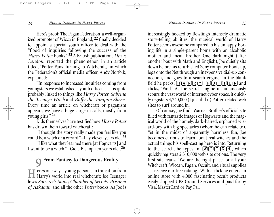Here's proof: The Pagan Federation, a well-organized promoter of Wicca in England, **22** finally decided to appoint a special youth officer to deal with the "flood of inquiries following the success of the *Harry Potter* books." **23** A British publication,*This is London,* reported the phenomenon in an article titled, "Potter Fans Turning to Witchcraft," in which the Federation's official media officer, Andy Norfolk, explained:

"In response to increased inquiries coming from youngsters we established a youth officer… It is quite probably linked to things like *Harry Potter, Sabrina the Teenage Witch* and *Buffy the Vampire Slayer*. Every time an article on witchcraft or paganism appears, we have a huge surge in calls, mostly from young girls." **24**

Kids themselves have testified how *Harry Potter* has drawn them toward witchcraft:

"I thought the story really made you feel like you could be a witch or a wizard."–Lily, eleven years old. **25**

"I like what they learned there [at Hogwarts] and I want to be a witch." –Gioia Bishop, ten years old .**26**

### **9 From Fantasy to Dangerous Reality**

 $\blacksquare$  are's one way a young person can transition from Harry's world into real witchcraft: Joe Teenager loves *Sorcerer's Stone*,*Chamber of Secrets, Prisoner of Azkaban*, and all the other *Potter* books. As Joe is

increasingly hooked by Rowling's intensely dramatic story-telling abilities, the magical world of Harry Potter seems awesome compared to his unhappy, boring life in a single-parent home with an alcoholic mother and mean brother. One dark night (after another bout with Math and English), Joe quietly sits down before his refurbished Sony computer, boots up, logs onto the Net through an inexpensive dial-up connection, and goes to a search engine. In the blank field he pecks,  $H(\mathbb{A})R(\mathbb{R})$   $P(\mathbb{O}(\mathbb{T})T(\mathbb{E})R)$  and clicks, "Find." As the search engine instantaneously scours the vast world of internet cyber space, it quickly registers 4,240,000 (I just did it) Potter-related web sites to surf around in.

Of course, Joe finds Warner Brother's official site filled with fantastic images of Hogwarts and the magical world of the homely, dark-haired, orphaned wizard-boy with big spectacles (whom he can relate to). Yet in the midst of apparently harmless fun, Joe becomes curious to learn about real witches and the actual things his spell-casting hero is into. Returning to the search, he types in,  $(W(I)T(C)H)$ , which quickly registers 2,310,000 web site options. The very first site reads, "We are the right place for all your Witchcraft, Wiccan, Pagan, Occult, and ritual supplies … receive our free catalog." With a click he enters an online store with 4,000 fascinating occult products easily shipped UPS Ground Services and paid for by Visa, MasterCard or Pay Pal.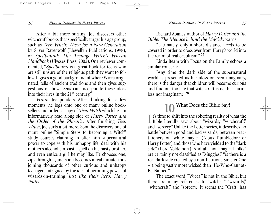After a bit more surfing, Joe discovers other witchcraft books that specifically target his age group, such as *Teen Witch: Wicca for a New Generation* by Silver Ravenwolf (Llewellyn Publications, 1998), or *Spellbound: The Teenage Witch's Wiccan Handbook* (Ulysses Press, 2002). One reviewer commented, "*Spellbound* is a great book for teens who are still unsure of the religious path they want to follow. It gives a good background of where Wicca originated, tells of ancient traditions and then gives suggestions on how teens can incorporate these ideas into their lives in the 21st century."

*Hmm*, Joe ponders. After thinking for a few moments, he logs onto one of many online booksellers and orders a copy of *Teen Witch* which he can informatively read along side of *Harry Potter and the Order of the Phoenix.* After finishing *Teen Witch*, Joe surfs a bit more. Soon he discovers one of many online "Simple Steps to Becoming a Witch" study courses claiming to offer him supernatural power to cope with his unhappy life, deal with his mother's alcoholism, cast a spell on his nasty brother, and even entice a girl he may like. He chooses one, zips through it, and soon becomes a real initiate, thus joining thousands of other curious and unhappy teenagers intrigued by the idea of becoming powerful wizards-in-training, *just like their hero, Harry Potter.*

Richard Abanes, author of *Harry Potter and the Bible: The Menace behind the Magick,* warns:

"Ultimately, only a short distance needs to be covered in order to cross over from Harry's world into the realm of real occultism." **27**

Linda Beam with Focus on the Family echoes a similar concern:

"Any time the dark side of the supernatural world is presented as harmless or even imaginary, there is the danger that children will become curious and find out too late that witchcraft is neither harmless nor imaginary." **28**

#### **10 What Does the Bible Say?**

 $\prod$  is time to shift into the sobering reality of what the Bible literally says about "wizards," "witchcraft,"  $\mathbf{T}$  t's time to shift into the sobering reality of what the and "sorcery." Unlike the Potter series, it describes no battle between good and bad wizards; between practitioners of "white magic" (Albus Dumbledore or Harry Potter) and those who have yielded to the "dark side" (Lord Voldemort). And all "non-magical folks" are certainly not classified as "Muggles."Yet there is a real dark side created by a non-fictitious Sinister One – a being vastly more wicked than "He-Who-Cannot-Be-Named."

The exact word, "Wicca," is not in the Bible, but there are many references to "witches," "wizards," "witchcraft," and "sorcery." It seems the "Craft" has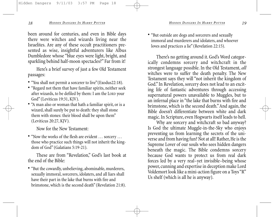been around for centuries, and even in Bible days there were witches and wizards living near the Israelites. Are any of these occult practitioners presented as wise, insightful adventurers like Albus Dumbledore whose "blue eyes were light, bright, and sparkling behind half-moon spectacles?" Far from it!

Here's a brief survey of just a few Old Testament passages:

- "You shall not permit a sorcerer to live"(Exodus22:18).
- "Regard not them that have familiar spirits, neither seek after wizards, to be defiled by them: I am the LORD your God" (Leviticus 19:31, KJV).
- "A man also or woman that hath a familiar spirit, or is a wizard, shall surely be put to death: they shall stone them with stones: their blood shall be upon them" (Leviticus 20:27, KJV).

Now for the New Testament:

• "Now the works of the flesh are evident … sorcery … those who practice such things will not inherit the kingdom of God" (Galatians 5:19-21).

These are from "Revelation," God's last book at the end of the Bible:

• "But the cowardly, unbelieving, abominable, murderers, sexually immoral, sorcerers, idolaters, and all liars shall have their part in the lake that burns with fire and brimstone, which is the second death" (Revelation 21:8). • "But outside are dogs and sorcerers and sexually immoral and murderers and idolaters, and whoever loves and practices a lie" (Revelation 22:15).

There's no getting around it. God's Word categorically condemns sorcery and witchcraft in the strongest language possible. In the Old Testament, *all* witches were to suffer the death penalty. The New Testament says they will "not inherit the kingdom of God." In Revelation, sorcery does not lead to an exciting life of fantastic adventures through accessing supernatural powers unavailable to Muggles, but to an infernal place in "the lake that burns with fire and brimstone,which is the second death."And again, the Bible doesn't differentiate between white and dark magic. In Scripture, even Hogwarts itself leads to hell.

Why are sorcery and witchcraft so bad anyway? Is God the ultimate Muggle-in-the-Sky who enjoys preventing us from learning the secrets of the universe and from having fun? Not at all! Rather, He is the Supreme Lover of our souls who sees hidden dangers beneath the magic. The Bible condemns sorcery because God wants to protect us from real dark forces led by a very real–yet invisible–being whose power, cunning and expertise in deception make Lord Voldemort look like a mini-action figure on a Toys "R" Us shelf (which is all he is anyway).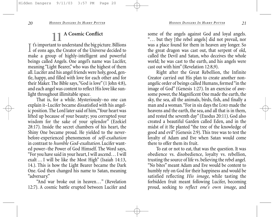## **11 A Cosmic Conflict**

I t's important to understand the big picture. Billions<br>of eons ago, the Creator of the Universe decided to  $\perp$  of eons ago, the Creator of the Universe decided to make a group of highly-intelligent and powerful beings called Angels. One angel's name was Lucifer, meaning "Light Bearer," who was the highest of them all. Lucifer and his angel friends were holy, good, gentle, happy, and filled with love for each other and for their Maker. The Bible says,"God is love" (1 John 4:8), and each angel was content to reflect His love like sunlight throughout illimitable space.

That is, for a while. Mysteriously–no one can explain it–Lucifer became dissatisfied with his angelic position. The Lord later said of him,"Your heart was lifted up because of your beauty; you corrupted your wisdom for the sake of your splendor" (Ezekiel 28:17). Inside the secret chambers of his heart, the Shiny One became proud. He yielded to the neverbefore-experienced phenomenon of *self-exaltation* in contrast to *humble God-exaltation*. Lucifer wanted power–the Power of God Himself. The Word says, "For you have said in your heart, I will ascend… I will exalt …I will be like the Most High" (Isaiah 14:13, 14.). This is how the Light Bearer became the Dark One. God then changed his name to Satan, meaning "adversary."

"And war broke out in heaven…" (Revelation 12:7). A cosmic battle erupted between Lucifer and

some of the angels against God and loyal angels. "… but they [the rebel angels] did not prevail, nor was a place found for them in heaven any longer. So the great dragon was cast out, that serpent of old, called the Devil and Satan, who deceives the whole world; he was cast to the earth, and his angels were cast out with him" (Revelation 12:8,9).

Right after the Great Rebellion, the Infinite Creator carried out His plan to create another nonangelic order of beings called Humans, formed "in the image of God" (Genesis 1:27). In an exercise of awesome power, the Magnificent One made the earth, the sky, the sea, all the animals, birds, fish, and finally a man and a woman."For in six days the LORD made the heavens and the earth, the sea, and all that is in them, and rested the seventh day" (Exodus 20:11). God also created a beautiful Garden called Eden, and in the midst of it He planted "the tree of the knowledge of good and evil" (Genesis 2:9). This tree was to test the loyalty of Adam and Eve when Satan would come there to offer them its fruit.

To eat or not to eat, that was the question. It was obedience vs. disobedience, loyalty vs. rebellion, trusting the source of life vs. believing the rebel angel. "No bites" meant Adam and Eve would be content to humbly rely on God for their happiness and would be satisfied reflecting *His image*, while tasting the forbidden fruit meant following Lucifer, becoming proud, seeking to *reflect one's own image*, and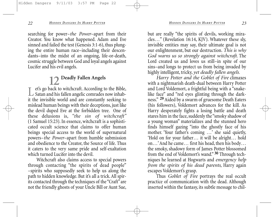searching for power–*the Power*–apart from their Creator. You know what happened. Adam and Eve sinned and failed the test (Genesis 3:1-6), thus plunging the entire human race–including their descendants–into the midst of an ongoing, life-or-death, cosmic struggle between God and loyal angels against Lucifer and his evil angels.

## **12 Deadly Fallen Angels**

Let's go back to witchcraft. According to the Bible,<br>Satan and his fallen angelic comrades now inhab-<br>it the invisible grad and an according the political it the invisible world and are constantly seeking to mislead human beings with their deceptions, just like the devil duped Eve at the forbidden tree. One of these delusions is, *"the sin of witchcraft"* (1 Samuel 15:23). In essence, witchcraft is a sophisticated occult science that claims to offer human beings special access to the world of supernatural powers–*the Power*–apart from humble submission and obedience to the Creator, the Source of life. Thus it caters to the very same pride and self-exaltation which turned Lucifer into the devil.

Witchcraft also claims access to special powers through contacting "the spirits of dead people" –spirits who supposedly seek to help us along the path to hidden knowledge. But it's all a trick. All spirits contacted through the techniques of the "Craft" are not the friendly ghosts of your Uncle Bill or Aunt Sue, but are really "the spirits of devils, working miracles…" (Revelation 16:14, KJV). Whatever these sly, invisible entities may say, their ultimate goal is not our enlightenment, but our destruction. *This is why God warns us so strongly against witchcraft*. The Lord created us and loves us still–in spite of our sins–and longs to protect us from being invaded by highly intelligent, tricky, *yet deadly fallen angels.*

*Harry Potter and the Goblet of Fire* climaxes with a nightmarish death-dual between Harry Potter and Lord Voldemort, a frightful being with a "snakelike face" and "red eyes glinting through the darkness." **29** Aided by a swarm of gruesome Death Eaters (his followers), Voldemort advances for the kill. As Harry desperately fights a losing battle and death stares him in the face, suddenly the "smoky shadow of a young woman" materializes and the stunned hero finds himself gazing "into the ghostly face of his mother. 'Your father's coming …' she said quietly, 'Hold on for your father… it will be alright… hold on…' And he came… first his head, then his body… the smoky, shadowy form of James Potter blossomed from the end of Voldemort's wand." **30** Through techniques he learned at Hogwarts and *emergency help from the spirits of his dead parents*, Harry again escapes Voldemort's grasp.

Thus *Goblet of Fire* portrays the real occult practice of communication with the dead. Although inserted within the fantasy, its subtle message to chil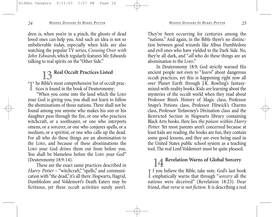dren is, when you're in a pinch, the ghosts of dead loved ones can help you. And such an idea is not so unbelievable today, especially when kids are also watching the popular TV series, *Crossing Over with John Edwards*, which regularly features Mr. Edwards talking to real spirits on the "Other Side."

## **13 Real Occult Practices Listed**

The Bible's most comprehensive list of occult prac- $\perp$  tices is found in the book of Deuteronomy:

"When you come into the land which the LORD your God is giving you, you shall not learn to follow the abominations of those nations. There shall not be found among you anyone who makes his son or his daughter pass through the fire, or one who practices witchcraft, or a soothsayer, or one who interprets omens, or a sorcerer, or one who conjures spells, or a medium, or a spiritist, or one who calls up the dead. For all who do these things are an abomination to the LORD, and because of these abominations the LORD your God drives them out from before you. You shall be blameless before the LORD your God" (Deuteronomy 18:9-14).

These are the exact same practices described in *Harry Potter* – "witchcraft," "spells," and communication with "the dead," it's all there. Hogwarts, Hagrid, Dumbledore and Voldemort's Death Eaters may be fictitious, yet these occult activities surely aren't. They've been occurring for centuries among the "nations." And again, in the Bible there's no distinction between good wizards like Albus Dumbledore and evil ones who have yielded to the Dark Side. No, they're all dark, and "*all* who do these things are an abomination to the LORD."

In Deuteronomy 18:9, God strictly warned His ancient people not even to "*learn*" about dangerous occult practices, yet this is happening right now all over Planet Earth through J.K. Rowling's fantasymixed-with-reality books. Kids *are*learning about the mysteries of the occult world when they read about Professor Binn's History of Magic class, Professor Snape's Potions class, Professor Flitwick's Charms class, Professor Trelawney's Divination class and the Restricted Section in Hogwarts library containing Black Arts books. Here lies *the poison within Harry Potter.* Yet most parents aren't concerned because at least kids are reading, the books are fun, they contain some good lessons, and they are even being used in the United States public school system as a teaching tool. The real Lord Voldemort must be quite pleased.

## **14 Revelation Warns of Global Sorcery**

If you believe the Bible, take note. God's last book<br>emphatically warns that through "*sorcery* all the  $\mathbb T$  f you believe the Bible, take note. God's last book nations were deceived" (Revelation 18:23). Dear friend,*that verse is not fiction.* It is describing a real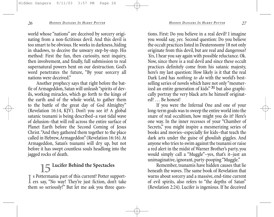world whose "nations" are deceived by sorcery originating from a non-fictitious devil. And this devil is too smart to be obvious. He works in darkness, hiding in shadows, to deceive the unwary step-by-step. His method: First the fun, then curiosity, next inquiry, then involvement, and finally, full submission to real supernatural powers bent on our destruction. God's word penetrates the future, "By your sorcery all nations were deceived."

Another prophecy says that right before the battle of Armageddon, Satan will unleash "spirits of devils, working miracles, which go forth to the kings of the earth and of the whole world, to gather them to the battle of the great day of God Almighty" (Revelation 16:14, KJV). Don't you see it? A global satanic tsunami is being described–a vast tidal wave of delusion–that will roll across the entire surface of Planet Earth before the Second Coming of Jesus Christ."And they gathered them together to the place called in Hebrew, Armageddon" (Revelation 16:16). At Armageddon, Satan's tsunami will dry up, but not before it has swept countless souls headlong into the jagged rocks of death.

## **15 Lucifer Behind the Spectacles**

I s Pottermania part of this current? Potter support-<br>ers say, "No way! They're just fiction, don't take s Pottermania part of this current? Potter supportthem so seriously!" But let me ask you three questions. First: Do you believe in a real devil? I imagine you would say, *yes.* Second question: Do you believe the occult practices listed in Deuteronomy 18 not only originate from this devil, but are real and dangerous? *Yes,* I hear you say again with possible reluctance. Ok. Now, since there is a real devil and since these occult practices definitely come from his satanic majesty, here's my last question: How likely is it that the real Dark Lord has *nothing to do* with the world's bestselling series of novels which have not only "mesmerized an entire generation of kids" **31** but also graphically portray the very black arts he himself originated? … Be honest!

If you were the Infernal One and one of your long-term goals was to sweep the entire world into the snare of real occultism, how might you do it? Here's one way. In the inner recesses of your "Chamber of Secrets," you might inspire a mesmerizing series of books and movies–especially for kids–that teach the dark arts under the guise of ghoulish giggles. And anyone who tries to swim against the tsunami or raise a red alert in the midst of Warner Brother's party, you would simply call a "Muggle"–yes, that's it–just an unimaginative, ignorant, party-pooping "Muggle."

Remember, tsunamis have hidden causes that lie beneath the waves. The same book of Revelation that warns about sorcery and a massive, end-time current of evil spirits, also refers to "the depths of Satan" (Revelation 2:24). Lucifer is ingenious. If he deceived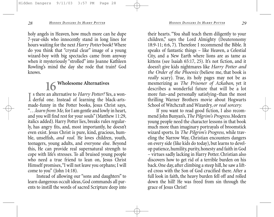holy angels in Heaven, how much more can he dupe 7-year-olds who innocently stand in long lines for hours waiting for the next *Harry Potter* book? Where do you think that "crystal clear" image of a young wizard-boy with big spectacles came from anyway when it mysteriously "strolled" into Joanne Kathleen Rowling's mind the day she rode that train? God knows.

## **16 Wholesome Alternatives**

I s there an alternative to *Harry Potter?* Yes, a won-<br>derful one. Instead of learning the black-artss there an alternative to *Harry Potter?* Yes, a wonmade-funny in the Potter books, Jesus Christ says, "…*learn from Me,* for I am gentle and lowly in heart, and you will find rest for your souls" (Matthew 11:29, italics added). Harry Potter lies, breaks rules regularly, has angry fits, and, most importantly, he doesn't even exist. Jesus Christ is pure, kind, gracious, humble, unselfish, *and real.* He loves children, youth, teenagers, young adults, and everyone else. Beyond this, He can provide real supernatural strength to cope with life's stresses. To all bruised young people who need a true friend to lean on, Jesus Christ Himself promises,"I will not leave you orphans; I will come to you" (John 14:18).

Instead of allowing our "sons and daughters" to learn dangerous occult ideas, God commands all parents to instill the words of sacred Scripture deep into their hearts. "You shall teach them diligently to your children," says the Lord Almighty (Deuteronomy 18:9-11; 6:6, 7). Therefore I recommend the Bible. It speaks of fantastic things – like Heaven, a Celestial City, and a New Earth where lions are as tame as kittens (see Isaiah 65:17, 25). It's not fiction, and it doesn't give kids nightmares like *Harry Potter and the Order of the Phoenix* (believe me, that book is *really* scary). True, its holy pages may not be as mesmerizing as *The Prisoner of Azkaban*, yet it describes a wonderful future that will be a lot more fun–and personally satisfying–than the most thrilling Warner Brothers movie about Hogwarts School of Witchcraft and Wizardry, *or real sorcery.*

If you want to read good fiction, I also recommend John Bunyan's,*The Pilgrim's Progress*. Modern young people need the character lessons in that book much more than imaginary portrayals of broomstick wizard sports. In *The Pilgrim's Progress,* while traveling the Narrow Way, Christian encounters dangers on every side (like kids do today), but learns to develop patience, humility, purity, honesty and faith in God – virtues sadly lacking in Harry Potter. Christian also discovers how to get rid of a terrible burden on his back. One day, after climbing a steep hill, he saw a lifted cross with the Son of God crucified there. After a full look in faith, the heavy burden fell off and rolled down the hill! He was freed from sin through the grace of Jesus Christ!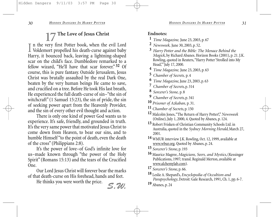## **17 The Love of Jesus Christ**

I in the very first Potter book, when the evil Lord<br>Voldemort propelled his death-curse against baby n the very first Potter book, when the evil Lord Harry, it bounced back, leaving a lightning-shaped scar on the child's face. Dumbledore remarked to a fellow wizard, "He'll have that scar forever." **32** Of course, this is pure fantasy. Outside Jerusalem, Jesus Christ was brutally assaulted by the real Dark One, beaten by the very human beings He came to save, and crucified on a tree. Before He took His last breath, He experienced the full death-curse of sin–"the sin of witchcraft" (1 Samuel 15:23), the sin of pride, the sin of seeking power apart from the Heavenly Provider, and the sin of every other evil thought and action.

There is only one kind of power God wants us to experience. It's safe, friendly, and grounded in truth. It's the very same power that motivated Jesus Christ to come down from Heaven, to bear our sins, and to humble Himself "to the point of death, even the death of the cross" (Philippians 2:8).

It's the power of love–of God's infinite love for us–made known through "the power of the Holy Spirit" (Romans 15:13) and the tears of the Crucified One.

Our Lord Jesus Christ will forever bear the marks of that death-curse on His forehead, hands and feet.

He thinks you were worth the price. *S.W.*

#### **Endnotes:**

- **1** *Time Magazine,* June 23, 2003, p. 67
- **2** *Newsweek,* June 30, 2003, p. 52.
- **3** *Harry Potter and the Bible: The Menace Behind the Magick*, by Richard Abanes. Horizon Books (2001), p. 21. J.K. Rowling, quoted in Reuters,"Harry Potter 'Strolled into My Head,'" July 17, 2000.
- **4** *Time Magazine,* June 23, 2003, p. 63
- **5** *Chamber of Secrets,* p. 4
- **6** *Time Magazine*, June 23, 2003, p. 63
- **7** *Chamber of Secrets*, p. 314
- **8** *Sorcerer's Stone,* p. 8
- **9** *Chamber of Secrets*, p. 341
- **10** *Prisoner of Azkaban,* p. 31.
- **11** *Chamber of Secrets*, p. 150
- **12** Malcolm Jones,"The Return of Harry Potter!,"*Newsweek* (Online), July 1, 2000, 4. Quoted by Abanes, p. 124.
- **13** Robert Frisken of Christian Community Schools Ltd. in Australia, quoted in the *Sydney Morning Herald*, March 27, 2001.
- **14** WMUR interview J.K. Rowling, Oct. 12, 1999, available at www.wbur.org. Quoted by Abanes, p. 24.
- **15** *Sorcerer's Stone*, p. 193
- **16** Maurice Magree,*Magicians, Seers, and Mystics*, (Kessinger Publications, 1997; transl. Reginald Merton, available at www.alchemylab.com).
- **17** *Sorcerer's Stone*, p. 66.
- **18** Leslie A. Shepard's, *Encyclopedia of Occultism and Parapsychology*, Detroit: Gale Research, 1991, Ch. 1, pp. 6-7.
- **19** Abanes, p. 24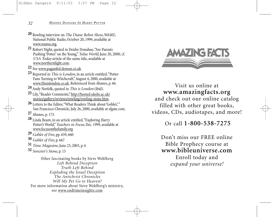- **20** Rowling interview on *The Diane Rehm Show*, WAMU, National Public Radio, October 20, 1999, available at www.wamu.org. **<sup>21</sup>** Robert Night, quoted in Deidre Donahue,"Are Parents
- Pushing 'Potter' on the Young,"*Tulsa World*, June 20, 2000; cf. *USA Today* article of the same title, available at
- 22 See www.paganfed.demon.co.uk
- **23** Reported in *This is London*, in an article entitled,"Potter Fans Turning to Witchcraft,"August 4, 2000, available at www.thisislondon.co.uk. Referenced from Abanes, p. 66.
- **24** Andy Norfolk, quoted in *This is London* (ibid).
- 25 Lily, "Reader Comments," http://hosted.ukoln.ac.uk/<br>stories/gallery/reviews/rowling/rowling-stone.htm.
- 26 Letters to the Editor, "What Readers Think about 'Goblet," San Francisco Chronicle, July 26, 2000, available at sfgate.com.
- **27** Abanes, p. 173.
- **28** Linda Beam, in an article entitled,"Exploring Harry Potter's World,"*Teachers in Focus*,Dec. 1999, available at www.focusonthefamily.org
- **29** *Goblet of Fire*, pp. 659, 660
- **30** *Goblet of Fire*, p. 667
- **31** *Time Magazine*, June 23, 2003, p. 6
- **32** *Sorcerer's Stone*, p. 15

Other fascinating books by Steve Wohlberg *Left Behind Deception Truth Left Behind Exploding the Israel Deception The Antichrist Chronicles Will My Pet Go to Heaven?* For more information about Steve Wohlberg's ministry, see www.endtimeinsights.com



Visit us online at **www.amazingfacts.org** and check out our online catalog filled with other great books, videos, CDs, audiotapes, and more!

Or call **1-800-538-7275** 

Don't miss our FREE online Bible Prophecy course at **www.bibleuniverse.com** Enroll today and *expand your universe!*